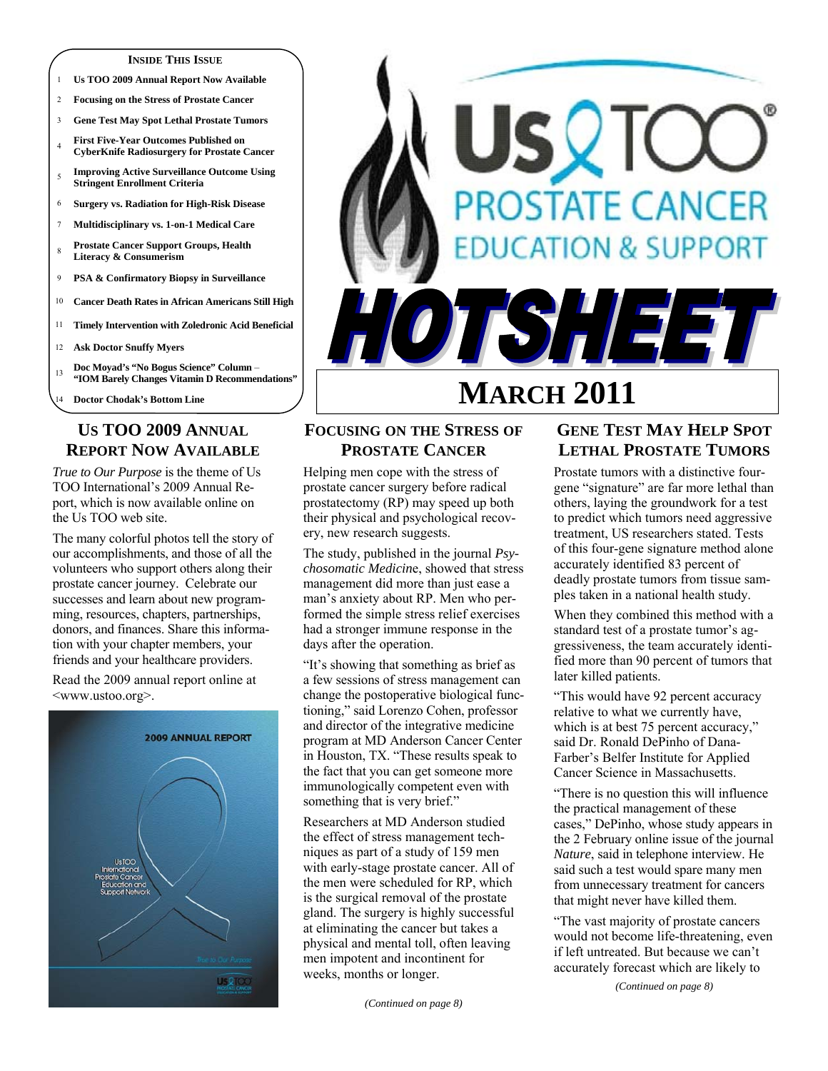#### **INSIDE THIS ISSUE**

- 1 **Us TOO 2009 Annual Report Now Available**
- 2 **Focusing on the Stress of Prostate Cancer**
- 3 **Gene Test May Spot Lethal Prostate Tumors**
- <sup>4</sup>**First Five-Year Outcomes Published on CyberKnife Radiosurgery for Prostate Cancer**
- <sup>5</sup>**Improving Active Surveillance Outcome Using Stringent Enrollment Criteria**
- 6 **Surgery vs. Radiation for High-Risk Disease**
- 7 **Multidisciplinary vs. 1-on-1 Medical Care**
- <sup>8</sup>**Prostate Cancer Support Groups, Health Literacy & Consumerism**
- 9 **PSA & Confirmatory Biopsy in Surveillance**
- 10 **Cancer Death Rates in African Americans Still High**
- 11 **Timely Intervention with Zoledronic Acid Beneficial**
- 12 **Ask Doctor Snuffy Myers**
- <sup>13</sup>**Doc Moyad's "No Bogus Science" Column "IOM Barely Changes Vitamin D Recommendations"**
- 14 **Doctor Chodak's Bottom Line**

## **US TOO 2009 ANNUAL REPORT NOW AVAILABLE**

*True to Our Purpose* is the theme of Us TOO International's 2009 Annual Report, which is now available online on the Us TOO web site.

The many colorful photos tell the story of our accomplishments, and those of all the volunteers who support others along their prostate cancer journey. Celebrate our successes and learn about new programming, resources, chapters, partnerships, donors, and finances. Share this information with your chapter members, your friends and your healthcare providers.

Read the 2009 annual report online at <www.ustoo.org>.



# **MARCH 2011 FOCUSING ON THE STRESS OF**

**PROSTATE CANCER** Helping men cope with the stress of

prostate cancer surgery before radical prostatectomy (RP) may speed up both their physical and psychological recovery, new research suggests.

The study, published in the journal *Psychosomatic Medicin*e, showed that stress management did more than just ease a man's anxiety about RP. Men who performed the simple stress relief exercises had a stronger immune response in the days after the operation.

"It's showing that something as brief as a few sessions of stress management can change the postoperative biological functioning," said Lorenzo Cohen, professor and director of the integrative medicine program at MD Anderson Cancer Center in Houston, TX. "These results speak to the fact that you can get someone more immunologically competent even with something that is very brief."

Researchers at MD Anderson studied the effect of stress management techniques as part of a study of 159 men with early-stage prostate cancer. All of the men were scheduled for RP, which is the surgical removal of the prostate gland. The surgery is highly successful at eliminating the cancer but takes a physical and mental toll, often leaving men impotent and incontinent for weeks, months or longer.

## **GENE TEST MAY HELP SPOT LETHAL PROSTATE TUMORS**

USQTC

**PROSTATE CANCER** 

TSHEET

**DUCATION & SUPPORT** 

Prostate tumors with a distinctive fourgene "signature" are far more lethal than others, laying the groundwork for a test to predict which tumors need aggressive treatment, US researchers stated. Tests of this four-gene signature method alone accurately identified 83 percent of deadly prostate tumors from tissue samples taken in a national health study.

When they combined this method with a standard test of a prostate tumor's aggressiveness, the team accurately identified more than 90 percent of tumors that later killed patients.

"This would have 92 percent accuracy relative to what we currently have, which is at best 75 percent accuracy," said Dr. Ronald DePinho of Dana-Farber's Belfer Institute for Applied Cancer Science in Massachusetts.

"There is no question this will influence the practical management of these cases," DePinho, whose study appears in the 2 February online issue of the journal *Nature*, said in telephone interview. He said such a test would spare many men from unnecessary treatment for cancers that might never have killed them.

"The vast majority of prostate cancers would not become life-threatening, even if left untreated. But because we can't accurately forecast which are likely to

*(Continued on page 8)*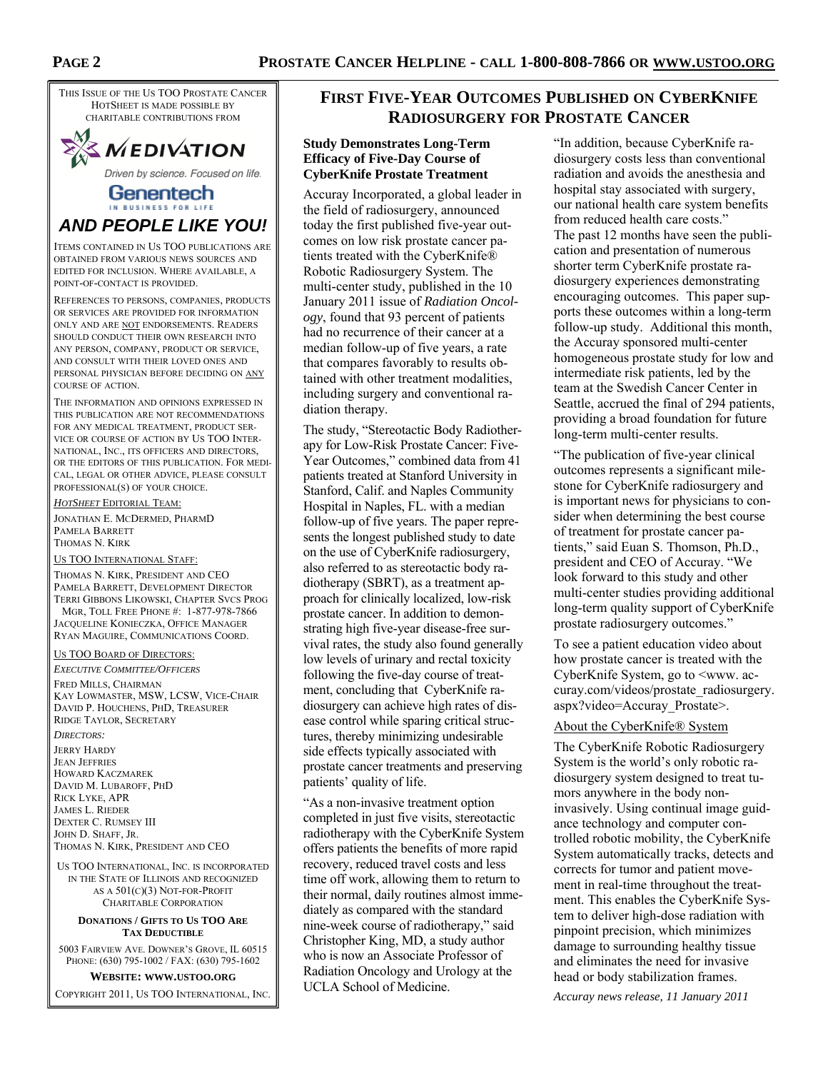THIS ISSUE OF THE US TOO PROSTATE CANCER HOTSHEET IS MADE POSSIBLE BY CHARITABLE CONTRIBUTIONS FROM



Driven by science. Focused on life.

### Genentech IN BUSINESS FOR LIFE *AND PEOPLE LIKE YOU!*

ITEMS CONTAINED IN US TOO PUBLICATIONS ARE OBTAINED FROM VARIOUS NEWS SOURCES AND EDITED FOR INCLUSION. WHERE AVAILABLE, A POINT-OF-CONTACT IS PROVIDED.

REFERENCES TO PERSONS, COMPANIES, PRODUCTS OR SERVICES ARE PROVIDED FOR INFORMATION ONLY AND ARE NOT ENDORSEMENTS. READERS SHOULD CONDUCT THEIR OWN RESEARCH INTO ANY PERSON, COMPANY, PRODUCT OR SERVICE, AND CONSULT WITH THEIR LOVED ONES AND PERSONAL PHYSICIAN BEFORE DECIDING ON ANY COURSE OF ACTION.

THE INFORMATION AND OPINIONS EXPRESSED IN THIS PUBLICATION ARE NOT RECOMMENDATIONS FOR ANY MEDICAL TREATMENT, PRODUCT SER-VICE OR COURSE OF ACTION BY US TOO INTER-NATIONAL, INC., ITS OFFICERS AND DIRECTORS, OR THE EDITORS OF THIS PUBLICATION. FOR MEDI-CAL, LEGAL OR OTHER ADVICE, PLEASE CONSULT PROFESSIONAL(S) OF YOUR CHOICE.

*HOTSHEET* EDITORIAL TEAM:

JONATHAN E. MCDERMED, PHARMD PAMELA BARRETT THOMAS N. KIRK

US TOO INTERNATIONAL STAFF:

THOMAS N. KIRK, PRESIDENT AND CEO PAMELA BARRETT, DEVELOPMENT DIRECTOR TERRI GIBBONS LIKOWSKI, CHAPTER SVCS PROG MGR, TOLL FREE PHONE #: 1-877-978-7866

JACQUELINE KONIECZKA, OFFICE MANAGER RYAN MAGUIRE, COMMUNICATIONS COORD.

### US TOO BOARD OF DIRECTORS:

*EXECUTIVE COMMITTEE/OFFICERS* FRED MILLS, CHAIRMAN KAY LOWMASTER, MSW, LCSW, VICE-CHAIR DAVID P. HOUCHENS, PHD, TREASURER RIDGE TAYLOR, SECRETARY

### *DIRECTORS:*

JERRY HARDY JEAN JEFFRIES HOWARD KACZMAREK DAVID M. LUBAROFF, PHD RICK LYKE, APR JAMES L. RIEDER DEXTER C. RUMSEY III JOHN D. SHAFF, JR. THOMAS N. KIRK, PRESIDENT AND CEO

US TOO INTERNATIONAL, INC. IS INCORPORATED IN THE STATE OF ILLINOIS AND RECOGNIZED AS A 501(C)(3) NOT-FOR-PROFIT CHARITABLE CORPORATION

#### **DONATIONS / GIFTS TO US TOO ARE TAX DEDUCTIBLE**

5003 FAIRVIEW AVE. DOWNER'S GROVE, IL 60515 PHONE: (630) 795-1002 / FAX: (630) 795-1602

**WEBSITE: WWW.USTOO.ORG**

COPYRIGHT 2011, US TOO INTERNATIONAL, INC.

## **FIRST FIVE-YEAR OUTCOMES PUBLISHED ON CYBERKNIFE RADIOSURGERY FOR PROSTATE CANCER**

### **Study Demonstrates Long-Term Efficacy of Five-Day Course of CyberKnife Prostate Treatment**

Accuray Incorporated, a global leader in the field of radiosurgery, announced today the first published five-year outcomes on low risk prostate cancer patients treated with the CyberKnife® Robotic Radiosurgery System. The multi-center study, published in the 10 January 2011 issue of *Radiation Oncology*, found that 93 percent of patients had no recurrence of their cancer at a median follow-up of five years, a rate that compares favorably to results obtained with other treatment modalities, including surgery and conventional radiation therapy.

The study, "Stereotactic Body Radiotherapy for Low-Risk Prostate Cancer: Five-Year Outcomes," combined data from 41 patients treated at Stanford University in Stanford, Calif. and Naples Community Hospital in Naples, FL. with a median follow-up of five years. The paper represents the longest published study to date on the use of CyberKnife radiosurgery, also referred to as stereotactic body radiotherapy (SBRT), as a treatment approach for clinically localized, low-risk prostate cancer. In addition to demonstrating high five-year disease-free survival rates, the study also found generally low levels of urinary and rectal toxicity following the five-day course of treatment, concluding that CyberKnife radiosurgery can achieve high rates of disease control while sparing critical structures, thereby minimizing undesirable side effects typically associated with prostate cancer treatments and preserving patients' quality of life.

"As a non-invasive treatment option completed in just five visits, stereotactic radiotherapy with the CyberKnife System offers patients the benefits of more rapid recovery, reduced travel costs and less time off work, allowing them to return to their normal, daily routines almost immediately as compared with the standard nine-week course of radiotherapy," said Christopher King, MD, a study author who is now an Associate Professor of Radiation Oncology and Urology at the UCLA School of Medicine.

"In addition, because CyberKnife radiosurgery costs less than conventional radiation and avoids the anesthesia and hospital stay associated with surgery. our national health care system benefits from reduced health care costs." The past 12 months have seen the publication and presentation of numerous shorter term CyberKnife prostate radiosurgery experiences demonstrating encouraging outcomes. This paper supports these outcomes within a long-term follow-up study. Additional this month, the Accuray sponsored multi-center homogeneous prostate study for low and intermediate risk patients, led by the team at the Swedish Cancer Center in Seattle, accrued the final of 294 patients, providing a broad foundation for future long-term multi-center results.

"The publication of five-year clinical outcomes represents a significant milestone for CyberKnife radiosurgery and is important news for physicians to consider when determining the best course of treatment for prostate cancer patients," said Euan S. Thomson, Ph.D., president and CEO of Accuray. "We look forward to this study and other multi-center studies providing additional long-term quality support of CyberKnife prostate radiosurgery outcomes."

To see a patient education video about how prostate cancer is treated with the CyberKnife System, go to <www. accuray.com/videos/prostate\_radiosurgery. aspx?video=Accuray\_Prostate>.

### About the CyberKnife® System

The CyberKnife Robotic Radiosurgery System is the world's only robotic radiosurgery system designed to treat tumors anywhere in the body noninvasively. Using continual image guidance technology and computer controlled robotic mobility, the CyberKnife System automatically tracks, detects and corrects for tumor and patient movement in real-time throughout the treatment. This enables the CyberKnife System to deliver high-dose radiation with pinpoint precision, which minimizes damage to surrounding healthy tissue and eliminates the need for invasive head or body stabilization frames.

*Accuray news release, 11 January 2011*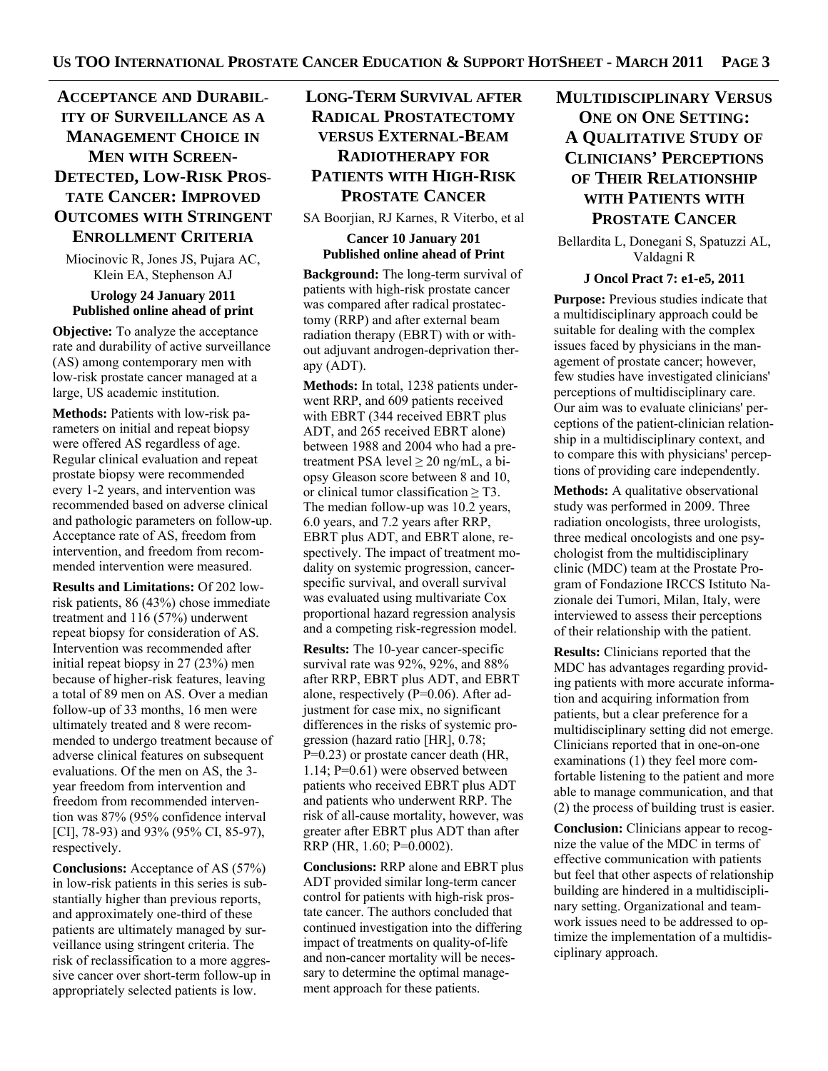## **ACCEPTANCE AND DURABIL-ITY OF SURVEILLANCE AS A MANAGEMENT CHOICE IN MEN WITH SCREEN-DETECTED, LOW-RISK PROS-TATE CANCER: IMPROVED OUTCOMES WITH STRINGENT ENROLLMENT CRITERIA**

Miocinovic R, Jones JS, Pujara AC, Klein EA, Stephenson AJ

### **Urology 24 January 2011 Published online ahead of print**

**Objective:** To analyze the acceptance rate and durability of active surveillance (AS) among contemporary men with low-risk prostate cancer managed at a large, US academic institution.

**Methods:** Patients with low-risk parameters on initial and repeat biopsy were offered AS regardless of age. Regular clinical evaluation and repeat prostate biopsy were recommended every 1-2 years, and intervention was recommended based on adverse clinical and pathologic parameters on follow-up. Acceptance rate of AS, freedom from intervention, and freedom from recommended intervention were measured.

**Results and Limitations:** Of 202 lowrisk patients, 86 (43%) chose immediate treatment and 116 (57%) underwent repeat biopsy for consideration of AS. Intervention was recommended after initial repeat biopsy in 27 (23%) men because of higher-risk features, leaving a total of 89 men on AS. Over a median follow-up of 33 months, 16 men were ultimately treated and 8 were recommended to undergo treatment because of adverse clinical features on subsequent evaluations. Of the men on AS, the 3 year freedom from intervention and freedom from recommended intervention was 87% (95% confidence interval [CI], 78-93) and 93% (95% CI, 85-97), respectively.

**Conclusions:** Acceptance of AS (57%) in low-risk patients in this series is substantially higher than previous reports, and approximately one-third of these patients are ultimately managed by surveillance using stringent criteria. The risk of reclassification to a more aggressive cancer over short-term follow-up in appropriately selected patients is low.

## **LONG-TERM SURVIVAL AFTER RADICAL PROSTATECTOMY VERSUS EXTERNAL-BEAM RADIOTHERAPY FOR PATIENTS WITH HIGH-RISK PROSTATE CANCER**

SA Boorjian, RJ Karnes, R Viterbo, et al

### **Cancer 10 January 201 Published online ahead of Print**

**Background:** The long-term survival of patients with high-risk prostate cancer was compared after radical prostatectomy (RRP) and after external beam radiation therapy (EBRT) with or without adjuvant androgen-deprivation therapy (ADT).

**Methods:** In total, 1238 patients underwent RRP, and 609 patients received with EBRT (344 received EBRT plus ADT, and 265 received EBRT alone) between 1988 and 2004 who had a pretreatment PSA level  $\geq$  20 ng/mL, a biopsy Gleason score between 8 and 10, or clinical tumor classification  $\geq$  T3. The median follow-up was 10.2 years, 6.0 years, and 7.2 years after RRP, EBRT plus ADT, and EBRT alone, respectively. The impact of treatment modality on systemic progression, cancerspecific survival, and overall survival was evaluated using multivariate Cox proportional hazard regression analysis and a competing risk-regression model.

**Results:** The 10-year cancer-specific survival rate was 92%, 92%, and 88% after RRP, EBRT plus ADT, and EBRT alone, respectively (P=0.06). After adjustment for case mix, no significant differences in the risks of systemic progression (hazard ratio [HR], 0.78; P=0.23) or prostate cancer death (HR, 1.14; P=0.61) were observed between patients who received EBRT plus ADT and patients who underwent RRP. The risk of all-cause mortality, however, was greater after EBRT plus ADT than after RRP (HR, 1.60; P=0.0002).

**Conclusions:** RRP alone and EBRT plus ADT provided similar long-term cancer control for patients with high-risk prostate cancer. The authors concluded that continued investigation into the differing impact of treatments on quality-of-life and non-cancer mortality will be necessary to determine the optimal management approach for these patients.

## **MULTIDISCIPLINARY VERSUS ONE ON ONE SETTING: A QUALITATIVE STUDY OF CLINICIANS' PERCEPTIONS OF THEIR RELATIONSHIP WITH PATIENTS WITH PROSTATE CANCER**

Bellardita L, Donegani S, Spatuzzi AL, Valdagni R

### **J Oncol Pract 7: e1-e5, 2011**

**Purpose:** Previous studies indicate that a multidisciplinary approach could be suitable for dealing with the complex issues faced by physicians in the management of prostate cancer; however, few studies have investigated clinicians' perceptions of multidisciplinary care. Our aim was to evaluate clinicians' perceptions of the patient-clinician relationship in a multidisciplinary context, and to compare this with physicians' perceptions of providing care independently.

**Methods:** A qualitative observational study was performed in 2009. Three radiation oncologists, three urologists, three medical oncologists and one psychologist from the multidisciplinary clinic (MDC) team at the Prostate Program of Fondazione IRCCS Istituto Nazionale dei Tumori, Milan, Italy, were interviewed to assess their perceptions of their relationship with the patient.

**Results:** Clinicians reported that the MDC has advantages regarding providing patients with more accurate information and acquiring information from patients, but a clear preference for a multidisciplinary setting did not emerge. Clinicians reported that in one-on-one examinations (1) they feel more comfortable listening to the patient and more able to manage communication, and that (2) the process of building trust is easier.

**Conclusion:** Clinicians appear to recognize the value of the MDC in terms of effective communication with patients but feel that other aspects of relationship building are hindered in a multidisciplinary setting. Organizational and teamwork issues need to be addressed to optimize the implementation of a multidisciplinary approach.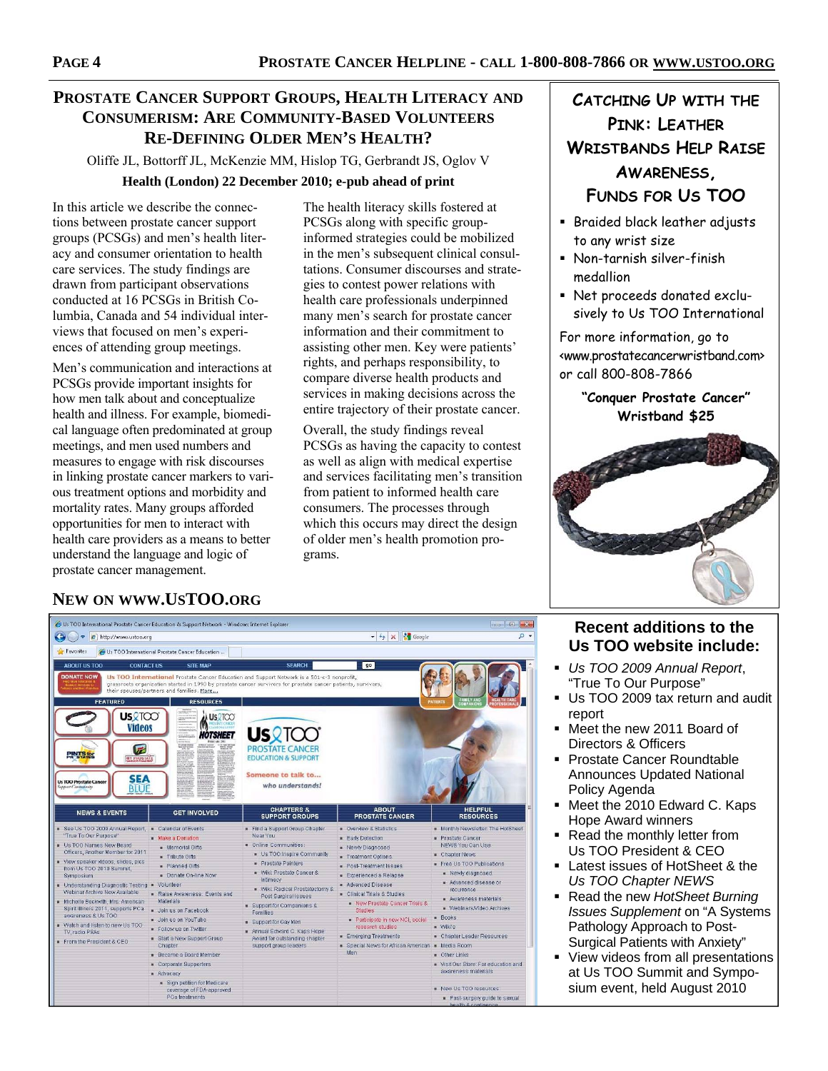## **PROSTATE CANCER SUPPORT GROUPS, HEALTH LITERACY AND CONSUMERISM: ARE COMMUNITY-BASED VOLUNTEERS RE-DEFINING OLDER MEN'S HEALTH?**

Oliffe JL, Bottorff JL, McKenzie MM, Hislop TG, Gerbrandt JS, Oglov V **Health (London) 22 December 2010; e-pub ahead of print** 

In this article we describe the connections between prostate cancer support groups (PCSGs) and men's health literacy and consumer orientation to health care services. The study findings are drawn from participant observations conducted at 16 PCSGs in British Columbia, Canada and 54 individual interviews that focused on men's experiences of attending group meetings.

Men's communication and interactions at PCSGs provide important insights for how men talk about and conceptualize health and illness. For example, biomedical language often predominated at group meetings, and men used numbers and measures to engage with risk discourses in linking prostate cancer markers to various treatment options and morbidity and mortality rates. Many groups afforded opportunities for men to interact with health care providers as a means to better understand the language and logic of prostate cancer management.

The health literacy skills fostered at PCSGs along with specific groupinformed strategies could be mobilized in the men's subsequent clinical consultations. Consumer discourses and strategies to contest power relations with health care professionals underpinned many men's search for prostate cancer information and their commitment to assisting other men. Key were patients' rights, and perhaps responsibility, to compare diverse health products and services in making decisions across the entire trajectory of their prostate cancer.

Overall, the study findings reveal PCSGs as having the capacity to contest as well as align with medical expertise and services facilitating men's transition from patient to informed health care consumers. The processes through which this occurs may direct the design of older men's health promotion programs.

## **CATCHING UP WITH THE PINK: LEATHER WRISTBANDS HELP RAISE AWARENESS, FUNDS FOR US TOO**

- **Braided black leather adjusts** to any wrist size
- Non-tarnish silver-finish medallion
- Net proceeds donated exclusively to Us TOO International

For more information, go to <www.prostatecancerwristband.com> or call 800-808-7866

### **"Conquer Prostate Cancer" Wristband \$25**



## **NEW ON WWW.USTOO.ORG**

| œ,<br>http://www.ustoo.org                                                                                                                                                                                                                                                                                                                                                                                                                                                                       |                                                                                                                                                                                                                                                                                                                           | $\bullet$ $\bullet$ $\times$ $\bullet$ Google                                                                                                                                                                                                                                                                                                                             |                                                                                                                                                                                                                                                                                                                                                                                        |                                                                                                                                                                                                                                                                                                                                                                                     |
|--------------------------------------------------------------------------------------------------------------------------------------------------------------------------------------------------------------------------------------------------------------------------------------------------------------------------------------------------------------------------------------------------------------------------------------------------------------------------------------------------|---------------------------------------------------------------------------------------------------------------------------------------------------------------------------------------------------------------------------------------------------------------------------------------------------------------------------|---------------------------------------------------------------------------------------------------------------------------------------------------------------------------------------------------------------------------------------------------------------------------------------------------------------------------------------------------------------------------|----------------------------------------------------------------------------------------------------------------------------------------------------------------------------------------------------------------------------------------------------------------------------------------------------------------------------------------------------------------------------------------|-------------------------------------------------------------------------------------------------------------------------------------------------------------------------------------------------------------------------------------------------------------------------------------------------------------------------------------------------------------------------------------|
| Favorites                                                                                                                                                                                                                                                                                                                                                                                                                                                                                        | 4 Us TOO International Prostate Cancer Education                                                                                                                                                                                                                                                                          |                                                                                                                                                                                                                                                                                                                                                                           |                                                                                                                                                                                                                                                                                                                                                                                        |                                                                                                                                                                                                                                                                                                                                                                                     |
| <b>ABOUT US TOO</b><br><b>CONTACT US</b>                                                                                                                                                                                                                                                                                                                                                                                                                                                         | <b>SITE MAP</b>                                                                                                                                                                                                                                                                                                           | <b>SEARCH</b>                                                                                                                                                                                                                                                                                                                                                             | go                                                                                                                                                                                                                                                                                                                                                                                     |                                                                                                                                                                                                                                                                                                                                                                                     |
| <b>DONATE NOW</b>                                                                                                                                                                                                                                                                                                                                                                                                                                                                                | their spouses/partners and families. More                                                                                                                                                                                                                                                                                 | Us TOO International Prostate Cancer Education and Support Network is a 501-c-3 nonprofit,<br>grassroots organization started in 1990 by prostate cancer survivors for prostate cancer patients, survivors,                                                                                                                                                               |                                                                                                                                                                                                                                                                                                                                                                                        |                                                                                                                                                                                                                                                                                                                                                                                     |
| <b>FEATURED</b>                                                                                                                                                                                                                                                                                                                                                                                                                                                                                  | <b>RESOURCES</b>                                                                                                                                                                                                                                                                                                          |                                                                                                                                                                                                                                                                                                                                                                           |                                                                                                                                                                                                                                                                                                                                                                                        | <b>PATIENTS</b>                                                                                                                                                                                                                                                                                                                                                                     |
| <b>US</b> QTOO'<br><b>Videos</b><br><b>PINTS for</b><br>MY PHOSTATE<br><b>SEA</b><br><b>Us TOO Prostate Cancer</b><br>Support Community<br><b>BIU</b>                                                                                                                                                                                                                                                                                                                                            | <b>US2TOO</b><br><b>HOTSHEET</b><br><b>SPINAR</b>                                                                                                                                                                                                                                                                         | <b>USRTOO</b><br><b>PROSTATE CANCER</b><br><b>EDUCATION &amp; SUPPORT</b><br>Someone to talk to<br>who understands!                                                                                                                                                                                                                                                       |                                                                                                                                                                                                                                                                                                                                                                                        |                                                                                                                                                                                                                                                                                                                                                                                     |
| <b>NEWS &amp; EVENTS</b>                                                                                                                                                                                                                                                                                                                                                                                                                                                                         | <b>GET INVOLVED</b>                                                                                                                                                                                                                                                                                                       | <b>CHAPTERS &amp;</b><br><b>SUPPORT GROUPS</b>                                                                                                                                                                                                                                                                                                                            | <b>ABOUT</b><br><b>PROSTATE CANCER</b>                                                                                                                                                                                                                                                                                                                                                 | <b>HELPFUL</b><br><b>RESOURCES</b>                                                                                                                                                                                                                                                                                                                                                  |
| See Us TOO 2009 Annual Report, Calendar of Events<br>"True To Our Purpose"<br>Us TOO Names New Board<br>Officers, Another Member for 2011<br>View speaker videos, slides, pics<br>from Us TOO 2010 Summit.<br><b>Symposium</b><br>Understanding Diagnostic Testing . Volunteer<br>Webinar Archive Now Available<br>Michelle Beckwith, Mrs. American<br>Spirit Illinois 2011, supports PCa.<br>awareness & Us TOO<br>Watch and listen to new Us TOO<br>TV, radio PSAs<br>From the President & CEO | Make a Donation<br><b>Memorial Gifts</b><br><b>Fribute Gifts</b><br><b>Planned Gifts</b><br>Donate On-line Now<br>Raise Awareness: Events and<br>Materials<br>Join us on Facebook<br>Join us on YouTube<br>Follow us on Twitter<br>Start a New Support Group<br>Chapter.<br>Become a Board Member<br>Corporate Supporters | Find a Support Group Chapter<br>Near You<br>Online Communities:<br>Us TOO Inspire Community<br>Prostate Pointers<br>Wiki: Prostate Cancer &<br>Intimacy<br>. Wiki: Radical Prostatectomy &<br>Post Surgical Issues<br>Support for Companions &<br>Families<br>Bupport for Gay Men<br>Annual Edward C. Kaps Hope<br>Award for outstanding chapter<br>support group leaders | • Overview & Statistics<br>Early Detection<br>- Newly Diagnosed<br>Treatment Options<br>Post-Treatment Issues<br>Experienced a Relapse<br>Advanced Disease<br>Clinical Trials & Studies<br>New Prostate Cancer Trials &<br><b>Studies</b><br>Participate in new NCI, social<br>research studies<br><b>Emerging Treatments</b><br>Special News for African American . Media Room<br>Men | Monthly Newsletter: The HotSheet<br>Prostate Cancer<br>NEWS You Can Use<br>Chapter News<br>Free Us TOO Publications<br>Newly diagnosed<br>Advanced disease or<br>recurrence<br>Awareness materials<br>Webinars/Video Archives<br><b>Books</b><br><b>a</b> Wiki's<br>- Chapter Leader Resources<br><b>D</b> Other Links<br>Visit Our Store: For education and<br>awareness materials |

## **Recent additions to the Us TOO website include:**

- *Us TOO 2009 Annual Report*, "True To Our Purpose"
- Us TOO 2009 tax return and audit report
- Meet the new 2011 Board of Directors & Officers
- **Prostate Cancer Roundtable** Announces Updated National Policy Agenda
- **Meet the 2010 Edward C. Kaps** Hope Award winners
- Read the monthly letter from Us TOO President & CEO
- **Latest issues of HotSheet & the** *Us TOO Chapter NEWS*
- Read the new *HotSheet Burning Issues Supplement* on "A Systems Pathology Approach to Post-Surgical Patients with Anxiety"
- **View videos from all presentations** at Us TOO Summit and Symposium event, held August 2010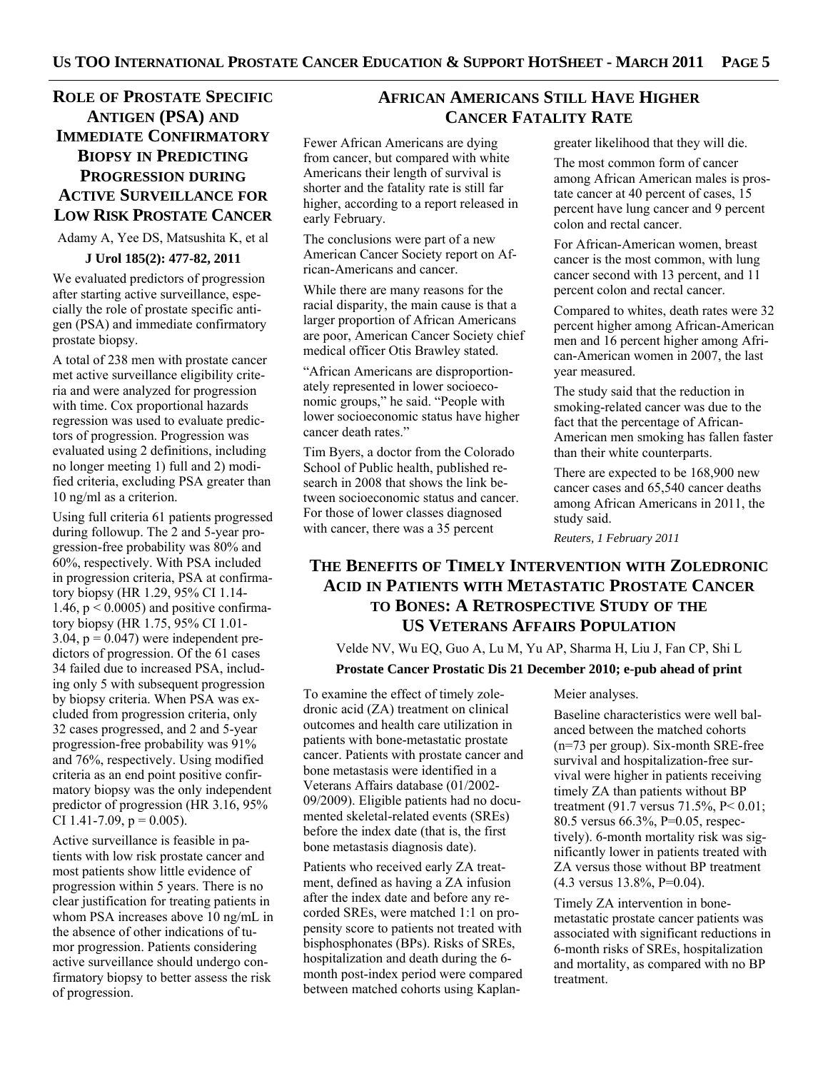## **ROLE OF PROSTATE SPECIFIC ANTIGEN (PSA) AND IMMEDIATE CONFIRMATORY BIOPSY IN PREDICTING PROGRESSION DURING ACTIVE SURVEILLANCE FOR LOW RISK PROSTATE CANCER**

Adamy A, Yee DS, Matsushita K, et al

### **J Urol 185(2): 477-82, 2011**

We evaluated predictors of progression after starting active surveillance, especially the role of prostate specific antigen (PSA) and immediate confirmatory prostate biopsy.

A total of 238 men with prostate cancer met active surveillance eligibility criteria and were analyzed for progression with time. Cox proportional hazards regression was used to evaluate predictors of progression. Progression was evaluated using 2 definitions, including no longer meeting 1) full and 2) modified criteria, excluding PSA greater than 10 ng/ml as a criterion.

Using full criteria 61 patients progressed during followup. The 2 and 5-year progression-free probability was 80% and 60%, respectively. With PSA included in progression criteria, PSA at confirmatory biopsy (HR 1.29, 95% CI 1.14- 1.46,  $p < 0.0005$ ) and positive confirmatory biopsy (HR 1.75, 95% CI 1.01-  $3.04$ ,  $p = 0.047$ ) were independent predictors of progression. Of the 61 cases 34 failed due to increased PSA, including only 5 with subsequent progression by biopsy criteria. When PSA was excluded from progression criteria, only 32 cases progressed, and 2 and 5-year progression-free probability was 91% and 76%, respectively. Using modified criteria as an end point positive confirmatory biopsy was the only independent predictor of progression (HR 3.16, 95% CI 1.41-7.09,  $p = 0.005$ ).

Active surveillance is feasible in patients with low risk prostate cancer and most patients show little evidence of progression within 5 years. There is no clear justification for treating patients in whom PSA increases above 10 ng/mL in the absence of other indications of tumor progression. Patients considering active surveillance should undergo confirmatory biopsy to better assess the risk of progression.

## **AFRICAN AMERICANS STILL HAVE HIGHER CANCER FATALITY RATE**

Fewer African Americans are dying from cancer, but compared with white Americans their length of survival is shorter and the fatality rate is still far higher, according to a report released in early February.

The conclusions were part of a new American Cancer Society report on African-Americans and cancer.

While there are many reasons for the racial disparity, the main cause is that a larger proportion of African Americans are poor, American Cancer Society chief medical officer Otis Brawley stated.

"African Americans are disproportionately represented in lower socioeconomic groups," he said. "People with lower socioeconomic status have higher cancer death rates."

Tim Byers, a doctor from the Colorado School of Public health, published research in 2008 that shows the link between socioeconomic status and cancer. For those of lower classes diagnosed with cancer, there was a 35 percent

To examine the effect of timely zoledronic acid (ZA) treatment on clinical outcomes and health care utilization in patients with bone-metastatic prostate cancer. Patients with prostate cancer and bone metastasis were identified in a Veterans Affairs database (01/2002- 09/2009). Eligible patients had no documented skeletal-related events (SREs) before the index date (that is, the first bone metastasis diagnosis date). Patients who received early ZA treatment, defined as having a ZA infusion after the index date and before any recorded SREs, were matched 1:1 on propensity score to patients not treated with bisphosphonates (BPs). Risks of SREs, hospitalization and death during the 6 month post-index period were compared between matched cohorts using Kaplangreater likelihood that they will die.

The most common form of cancer among African American males is prostate cancer at 40 percent of cases, 15 percent have lung cancer and 9 percent colon and rectal cancer.

For African-American women, breast cancer is the most common, with lung cancer second with 13 percent, and 11 percent colon and rectal cancer.

Compared to whites, death rates were 32 percent higher among African-American men and 16 percent higher among African-American women in 2007, the last year measured.

The study said that the reduction in smoking-related cancer was due to the fact that the percentage of African-American men smoking has fallen faster than their white counterparts.

There are expected to be 168,900 new cancer cases and 65,540 cancer deaths among African Americans in 2011, the study said.

*Reuters, 1 February 2011* 

## **THE BENEFITS OF TIMELY INTERVENTION WITH ZOLEDRONIC ACID IN PATIENTS WITH METASTATIC PROSTATE CANCER TO BONES: A RETROSPECTIVE STUDY OF THE US VETERANS AFFAIRS POPULATION**

Velde NV, Wu EQ, Guo A, Lu M, Yu AP, Sharma H, Liu J, Fan CP, Shi L **Prostate Cancer Prostatic Dis 21 December 2010; e-pub ahead of print** 

Meier analyses.

Baseline characteristics were well balanced between the matched cohorts (n=73 per group). Six-month SRE-free survival and hospitalization-free survival were higher in patients receiving timely ZA than patients without BP treatment (91.7 versus 71.5%, P< 0.01; 80.5 versus 66.3%, P=0.05, respectively). 6-month mortality risk was significantly lower in patients treated with ZA versus those without BP treatment (4.3 versus 13.8%, P=0.04).

Timely ZA intervention in bonemetastatic prostate cancer patients was associated with significant reductions in 6-month risks of SREs, hospitalization and mortality, as compared with no BP treatment.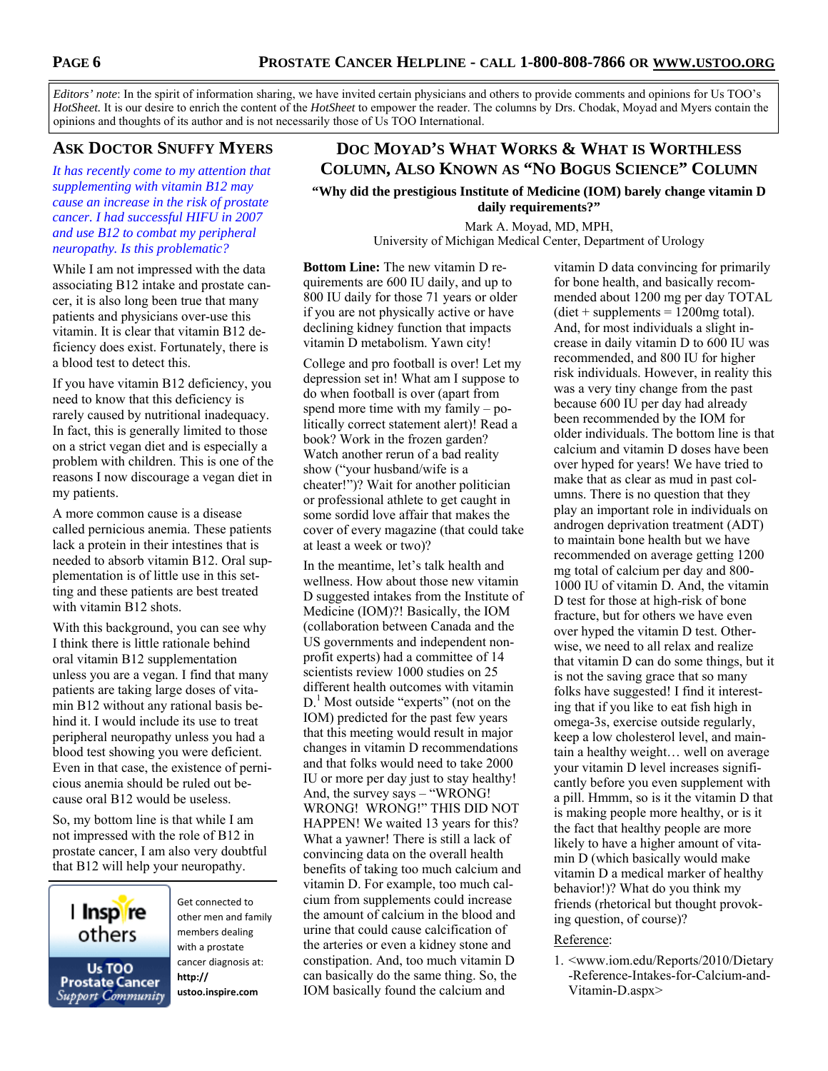*Editors' note*: In the spirit of information sharing, we have invited certain physicians and others to provide comments and opinions for Us TOO's *HotSheet.* It is our desire to enrich the content of the *HotSheet* to empower the reader. The columns by Drs. Chodak, Moyad and Myers contain the opinions and thoughts of its author and is not necessarily those of Us TOO International.

## **ASK DOCTOR SNUFFY MYERS**

*It has recently come to my attention that supplementing with vitamin B12 may cause an increase in the risk of prostate cancer. I had successful HIFU in 2007 and use B12 to combat my peripheral neuropathy. Is this problematic?* 

While I am not impressed with the data associating B12 intake and prostate cancer, it is also long been true that many patients and physicians over-use this vitamin. It is clear that vitamin B12 deficiency does exist. Fortunately, there is a blood test to detect this.

If you have vitamin B12 deficiency, you need to know that this deficiency is rarely caused by nutritional inadequacy. In fact, this is generally limited to those on a strict vegan diet and is especially a problem with children. This is one of the reasons I now discourage a vegan diet in my patients.

A more common cause is a disease called pernicious anemia. These patients lack a protein in their intestines that is needed to absorb vitamin B12. Oral supplementation is of little use in this setting and these patients are best treated with vitamin B12 shots.

With this background, you can see why I think there is little rationale behind oral vitamin B12 supplementation unless you are a vegan. I find that many patients are taking large doses of vitamin B12 without any rational basis behind it. I would include its use to treat peripheral neuropathy unless you had a blood test showing you were deficient. Even in that case, the existence of pernicious anemia should be ruled out because oral B12 would be useless.

So, my bottom line is that while I am not impressed with the role of B12 in prostate cancer, I am also very doubtful that B12 will help your neuropathy.



Get connected to other men and family members dealing with a prostate cancer diagnosis at: **http:// ustoo.inspire.com**

## **DOC MOYAD'S WHAT WORKS & WHAT IS WORTHLESS COLUMN, ALSO KNOWN AS "NO BOGUS SCIENCE" COLUMN**

**"Why did the prestigious Institute of Medicine (IOM) barely change vitamin D daily requirements?"** 

> Mark A. Moyad, MD, MPH, University of Michigan Medical Center, Department of Urology

**Bottom Line:** The new vitamin D requirements are 600 IU daily, and up to 800 IU daily for those 71 years or older if you are not physically active or have declining kidney function that impacts vitamin D metabolism. Yawn city!

College and pro football is over! Let my depression set in! What am I suppose to do when football is over (apart from spend more time with my family – politically correct statement alert)! Read a book? Work in the frozen garden? Watch another rerun of a bad reality show ("your husband/wife is a cheater!")? Wait for another politician or professional athlete to get caught in some sordid love affair that makes the cover of every magazine (that could take at least a week or two)?

In the meantime, let's talk health and wellness. How about those new vitamin D suggested intakes from the Institute of Medicine (IOM)?! Basically, the IOM (collaboration between Canada and the US governments and independent nonprofit experts) had a committee of 14 scientists review 1000 studies on 25 different health outcomes with vitamin D.<sup>1</sup> Most outside "experts" (not on the IOM) predicted for the past few years that this meeting would result in major changes in vitamin D recommendations and that folks would need to take 2000 IU or more per day just to stay healthy! And, the survey says – "WRONG! WRONG! WRONG!" THIS DID NOT HAPPEN! We waited 13 years for this? What a yawner! There is still a lack of convincing data on the overall health benefits of taking too much calcium and vitamin D. For example, too much calcium from supplements could increase the amount of calcium in the blood and urine that could cause calcification of the arteries or even a kidney stone and constipation. And, too much vitamin D can basically do the same thing. So, the IOM basically found the calcium and

vitamin D data convincing for primarily for bone health, and basically recommended about 1200 mg per day TOTAL  $(diet + supplements = 1200mg total).$ And, for most individuals a slight increase in daily vitamin D to 600 IU was recommended, and 800 IU for higher risk individuals. However, in reality this was a very tiny change from the past because 600 IU per day had already been recommended by the IOM for older individuals. The bottom line is that calcium and vitamin D doses have been over hyped for years! We have tried to make that as clear as mud in past columns. There is no question that they play an important role in individuals on androgen deprivation treatment (ADT) to maintain bone health but we have recommended on average getting 1200 mg total of calcium per day and 800- 1000 IU of vitamin D. And, the vitamin D test for those at high-risk of bone fracture, but for others we have even over hyped the vitamin D test. Otherwise, we need to all relax and realize that vitamin D can do some things, but it is not the saving grace that so many folks have suggested! I find it interesting that if you like to eat fish high in omega-3s, exercise outside regularly, keep a low cholesterol level, and maintain a healthy weight… well on average your vitamin D level increases significantly before you even supplement with a pill. Hmmm, so is it the vitamin D that is making people more healthy, or is it the fact that healthy people are more likely to have a higher amount of vitamin D (which basically would make vitamin D a medical marker of healthy behavior!)? What do you think my friends (rhetorical but thought provoking question, of course)?

### Reference:

1. <www.iom.edu/Reports/2010/Dietary -Reference-Intakes-for-Calcium-and-Vitamin-D.aspx>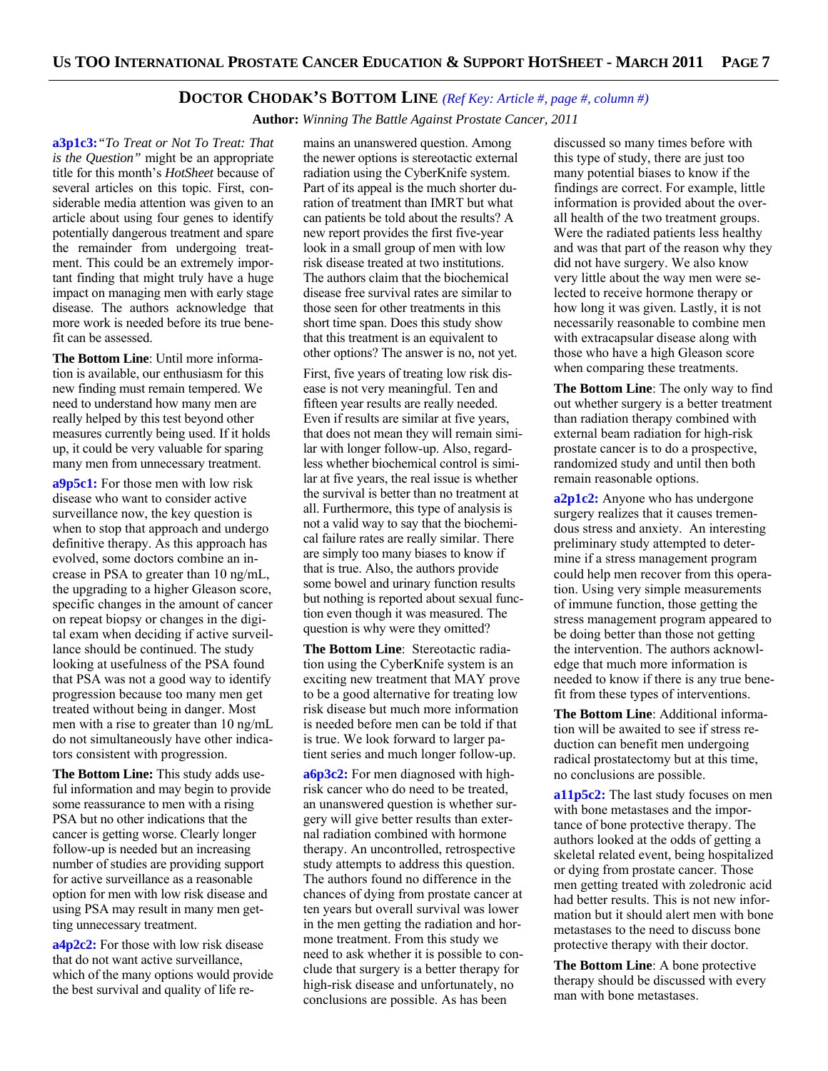### **DOCTOR CHODAK'S BOTTOM LINE** *(Ref Key: Article #, page #, column #)*

 **Author:** *Winning The Battle Against Prostate Cancer, 2011*

**a3p1c3:***"To Treat or Not To Treat: That is the Question"* might be an appropriate title for this month's *HotSheet* because of several articles on this topic. First, considerable media attention was given to an article about using four genes to identify potentially dangerous treatment and spare the remainder from undergoing treatment. This could be an extremely important finding that might truly have a huge impact on managing men with early stage disease. The authors acknowledge that more work is needed before its true benefit can be assessed.

**The Bottom Line**: Until more information is available, our enthusiasm for this new finding must remain tempered. We need to understand how many men are really helped by this test beyond other measures currently being used. If it holds up, it could be very valuable for sparing many men from unnecessary treatment.

**a9p5c1:** For those men with low risk disease who want to consider active surveillance now, the key question is when to stop that approach and undergo definitive therapy. As this approach has evolved, some doctors combine an increase in PSA to greater than 10 ng/mL, the upgrading to a higher Gleason score, specific changes in the amount of cancer on repeat biopsy or changes in the digital exam when deciding if active surveillance should be continued. The study looking at usefulness of the PSA found that PSA was not a good way to identify progression because too many men get treated without being in danger. Most men with a rise to greater than 10 ng/mL do not simultaneously have other indicators consistent with progression.

**The Bottom Line:** This study adds useful information and may begin to provide some reassurance to men with a rising PSA but no other indications that the cancer is getting worse. Clearly longer follow-up is needed but an increasing number of studies are providing support for active surveillance as a reasonable option for men with low risk disease and using PSA may result in many men getting unnecessary treatment.

**a4p2c2:** For those with low risk disease that do not want active surveillance, which of the many options would provide the best survival and quality of life remains an unanswered question. Among the newer options is stereotactic external radiation using the CyberKnife system. Part of its appeal is the much shorter duration of treatment than IMRT but what can patients be told about the results? A new report provides the first five-year look in a small group of men with low risk disease treated at two institutions. The authors claim that the biochemical disease free survival rates are similar to those seen for other treatments in this short time span. Does this study show that this treatment is an equivalent to other options? The answer is no, not yet.

First, five years of treating low risk disease is not very meaningful. Ten and fifteen year results are really needed. Even if results are similar at five years, that does not mean they will remain similar with longer follow-up. Also, regardless whether biochemical control is similar at five years, the real issue is whether the survival is better than no treatment at all. Furthermore, this type of analysis is not a valid way to say that the biochemical failure rates are really similar. There are simply too many biases to know if that is true. Also, the authors provide some bowel and urinary function results but nothing is reported about sexual function even though it was measured. The question is why were they omitted?

**The Bottom Line**: Stereotactic radiation using the CyberKnife system is an exciting new treatment that MAY prove to be a good alternative for treating low risk disease but much more information is needed before men can be told if that is true. We look forward to larger patient series and much longer follow-up.

**a6p3c2:** For men diagnosed with highrisk cancer who do need to be treated, an unanswered question is whether surgery will give better results than external radiation combined with hormone therapy. An uncontrolled, retrospective study attempts to address this question. The authors found no difference in the chances of dying from prostate cancer at ten years but overall survival was lower in the men getting the radiation and hormone treatment. From this study we need to ask whether it is possible to conclude that surgery is a better therapy for high-risk disease and unfortunately, no conclusions are possible. As has been

discussed so many times before with this type of study, there are just too many potential biases to know if the findings are correct. For example, little information is provided about the overall health of the two treatment groups. Were the radiated patients less healthy and was that part of the reason why they did not have surgery. We also know very little about the way men were selected to receive hormone therapy or how long it was given. Lastly, it is not necessarily reasonable to combine men with extracapsular disease along with those who have a high Gleason score when comparing these treatments.

**The Bottom Line**: The only way to find out whether surgery is a better treatment than radiation therapy combined with external beam radiation for high-risk prostate cancer is to do a prospective, randomized study and until then both remain reasonable options.

**a2p1c2:** Anyone who has undergone surgery realizes that it causes tremendous stress and anxiety. An interesting preliminary study attempted to determine if a stress management program could help men recover from this operation. Using very simple measurements of immune function, those getting the stress management program appeared to be doing better than those not getting the intervention. The authors acknowledge that much more information is needed to know if there is any true benefit from these types of interventions.

**The Bottom Line**: Additional information will be awaited to see if stress reduction can benefit men undergoing radical prostatectomy but at this time, no conclusions are possible.

**a11p5c2:** The last study focuses on men with bone metastases and the importance of bone protective therapy. The authors looked at the odds of getting a skeletal related event, being hospitalized or dying from prostate cancer. Those men getting treated with zoledronic acid had better results. This is not new information but it should alert men with bone metastases to the need to discuss bone protective therapy with their doctor.

**The Bottom Line**: A bone protective therapy should be discussed with every man with bone metastases.